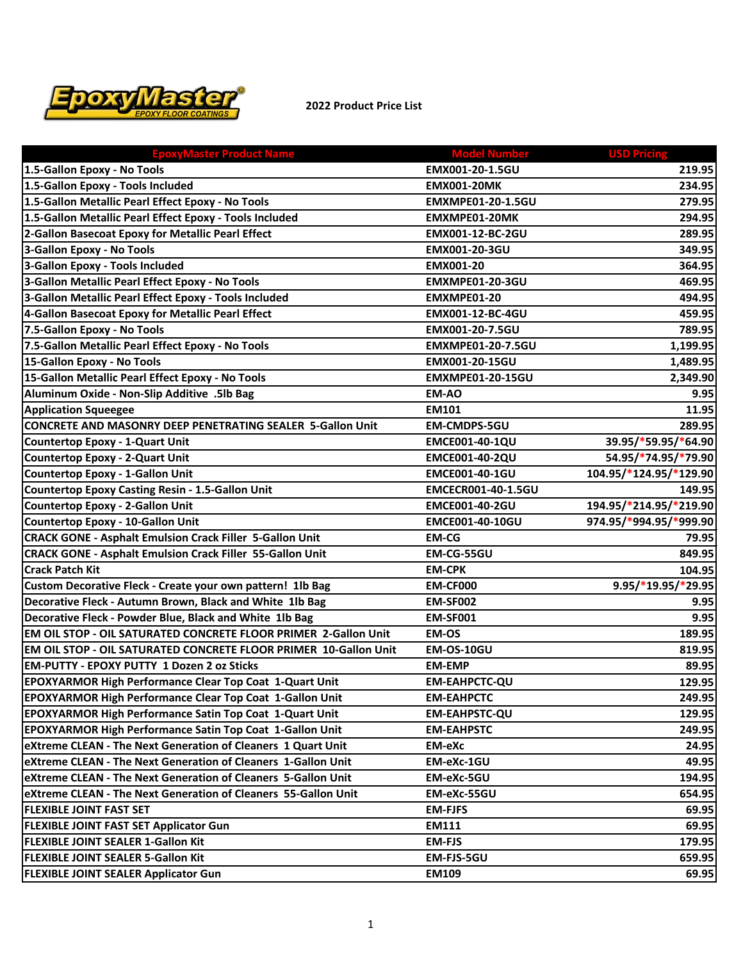

## **2022 Product Price List**

| <b>EpoxyMaster Product Name</b>                                         | <b>Model Number</b>      | <b>USD Pricing</b>     |
|-------------------------------------------------------------------------|--------------------------|------------------------|
| 1.5-Gallon Epoxy - No Tools                                             | EMX001-20-1.5GU          | 219.95                 |
| 1.5-Gallon Epoxy - Tools Included                                       | <b>EMX001-20MK</b>       | 234.95                 |
| 1.5-Gallon Metallic Pearl Effect Epoxy - No Tools                       | <b>EMXMPE01-20-1.5GU</b> | 279.95                 |
| 1.5-Gallon Metallic Pearl Effect Epoxy - Tools Included                 | EMXMPE01-20MK            | 294.95                 |
| 2-Gallon Basecoat Epoxy for Metallic Pearl Effect                       | EMX001-12-BC-2GU         | 289.95                 |
| 3-Gallon Epoxy - No Tools                                               | EMX001-20-3GU            | 349.95                 |
| 3-Gallon Epoxy - Tools Included                                         | EMX001-20                | 364.95                 |
| 3-Gallon Metallic Pearl Effect Epoxy - No Tools                         | EMXMPE01-20-3GU          | 469.95                 |
| 3-Gallon Metallic Pearl Effect Epoxy - Tools Included                   | EMXMPE01-20              | 494.95                 |
| 4-Gallon Basecoat Epoxy for Metallic Pearl Effect                       | EMX001-12-BC-4GU         | 459.95                 |
| 7.5-Gallon Epoxy - No Tools                                             | EMX001-20-7.5GU          | 789.95                 |
| 7.5-Gallon Metallic Pearl Effect Epoxy - No Tools                       | <b>EMXMPE01-20-7.5GU</b> | 1,199.95               |
| 15-Gallon Epoxy - No Tools                                              | EMX001-20-15GU           | 1,489.95               |
| 15-Gallon Metallic Pearl Effect Epoxy - No Tools                        | <b>EMXMPE01-20-15GU</b>  | 2,349.90               |
| Aluminum Oxide - Non-Slip Additive .5lb Bag                             | <b>EM-AO</b>             | 9.95                   |
| <b>Application Squeegee</b>                                             | <b>EM101</b>             | 11.95                  |
| CONCRETE AND MASONRY DEEP PENETRATING SEALER 5-Gallon Unit              | <b>EM-CMDPS-5GU</b>      | 289.95                 |
| Countertop Epoxy - 1-Quart Unit                                         | EMCE001-40-1QU           | 39.95/*59.95/*64.90    |
| Countertop Epoxy - 2-Quart Unit                                         | EMCE001-40-2QU           | 54.95/*74.95/*79.90    |
| Countertop Epoxy - 1-Gallon Unit                                        | EMCE001-40-1GU           | 104.95/*124.95/*129.90 |
| Countertop Epoxy Casting Resin - 1.5-Gallon Unit                        | EMCECR001-40-1.5GU       | 149.95                 |
| Countertop Epoxy - 2-Gallon Unit                                        | EMCE001-40-2GU           | 194.95/*214.95/*219.90 |
| Countertop Epoxy - 10-Gallon Unit                                       | <b>EMCE001-40-10GU</b>   | 974.95/*994.95/*999.90 |
| <b>CRACK GONE - Asphalt Emulsion Crack Filler 5-Gallon Unit</b>         | <b>EM-CG</b>             | 79.95                  |
| <b>CRACK GONE - Asphalt Emulsion Crack Filler 55-Gallon Unit</b>        | EM-CG-55GU               | 849.95                 |
| <b>Crack Patch Kit</b>                                                  | <b>EM-CPK</b>            | 104.95                 |
| Custom Decorative Fleck - Create your own pattern! 1lb Bag              | <b>EM-CF000</b>          | $9.95/*19.95/*29.95$   |
| Decorative Fleck - Autumn Brown, Black and White 1lb Bag                | <b>EM-SF002</b>          | 9.95                   |
| Decorative Fleck - Powder Blue, Black and White 1lb Bag                 | <b>EM-SF001</b>          | 9.95                   |
| EM OIL STOP - OIL SATURATED CONCRETE FLOOR PRIMER 2-Gallon Unit         | <b>EM-OS</b>             | 189.95                 |
| <b>EM OIL STOP - OIL SATURATED CONCRETE FLOOR PRIMER 10-Gallon Unit</b> | <b>EM-OS-10GU</b>        | 819.95                 |
| <b>EM-PUTTY - EPOXY PUTTY 1 Dozen 2 oz Sticks</b>                       | <b>EM-EMP</b>            | 89.95                  |
| <b>EPOXYARMOR High Performance Clear Top Coat 1-Quart Unit</b>          | <b>EM-EAHPCTC-QU</b>     | 129.95                 |
| <b>EPOXYARMOR High Performance Clear Top Coat 1-Gallon Unit</b>         | <b>EM-EAHPCTC</b>        | 249.95                 |
| <b>EPOXYARMOR High Performance Satin Top Coat 1-Quart Unit</b>          | <b>EM-EAHPSTC-QU</b>     | 129.95                 |
| <b>EPOXYARMOR High Performance Satin Top Coat 1-Gallon Unit</b>         | <b>EM-EAHPSTC</b>        | 249.95                 |
| eXtreme CLEAN - The Next Generation of Cleaners 1 Quart Unit            | <b>EM-eXc</b>            | 24.95                  |
| eXtreme CLEAN - The Next Generation of Cleaners 1-Gallon Unit           | EM-eXc-1GU               | 49.95                  |
| eXtreme CLEAN - The Next Generation of Cleaners 5-Gallon Unit           | EM-eXc-5GU               | 194.95                 |
| eXtreme CLEAN - The Next Generation of Cleaners 55-Gallon Unit          | EM-eXc-55GU              | 654.95                 |
| <b>FLEXIBLE JOINT FAST SET</b>                                          | <b>EM-FJFS</b>           | 69.95                  |
| <b>FLEXIBLE JOINT FAST SET Applicator Gun</b>                           | <b>EM111</b>             | 69.95                  |
| <b>FLEXIBLE JOINT SEALER 1-Gallon Kit</b>                               | <b>EM-FJS</b>            | 179.95                 |
| <b>FLEXIBLE JOINT SEALER 5-Gallon Kit</b>                               | EM-FJS-5GU               | 659.95                 |
| <b>FLEXIBLE JOINT SEALER Applicator Gun</b>                             | <b>EM109</b>             | 69.95                  |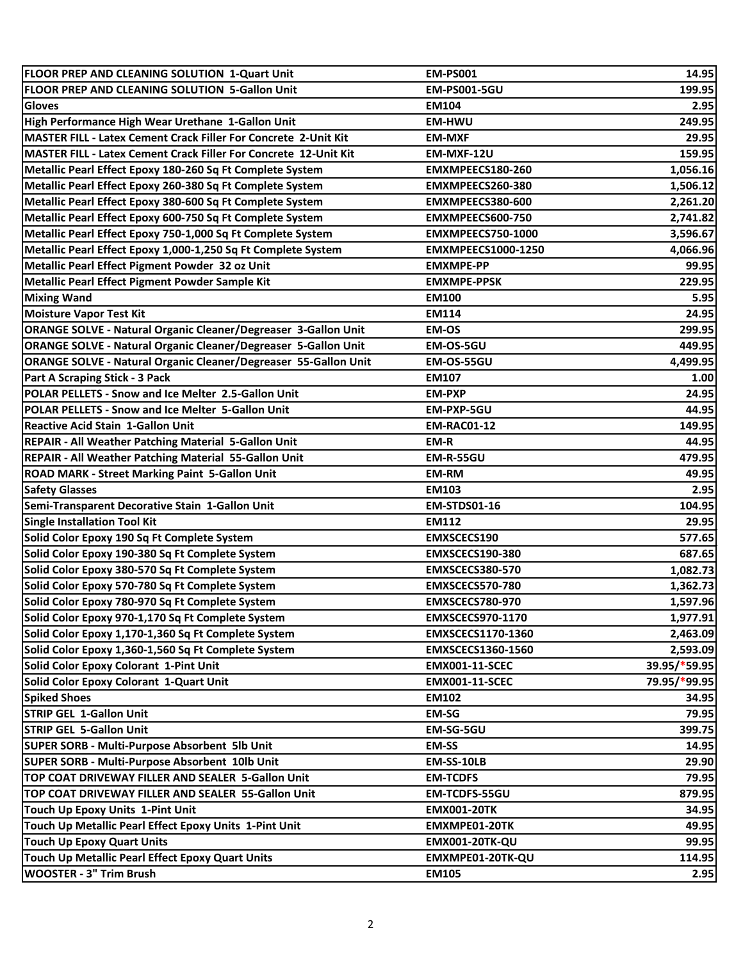| FLOOR PREP AND CLEANING SOLUTION 1-Quart Unit                         | <b>EM-PS001</b>           | 14.95        |
|-----------------------------------------------------------------------|---------------------------|--------------|
| FLOOR PREP AND CLEANING SOLUTION 5-Gallon Unit                        | <b>EM-PS001-5GU</b>       | 199.95       |
| <b>Gloves</b>                                                         | <b>EM104</b>              | 2.95         |
| High Performance High Wear Urethane 1-Gallon Unit                     | <b>EM-HWU</b>             | 249.95       |
| MASTER FILL - Latex Cement Crack Filler For Concrete 2-Unit Kit       | <b>EM-MXF</b>             | 29.95        |
| MASTER FILL - Latex Cement Crack Filler For Concrete 12-Unit Kit      | EM-MXF-12U                | 159.95       |
| Metallic Pearl Effect Epoxy 180-260 Sq Ft Complete System             | EMXMPEECS180-260          | 1,056.16     |
| Metallic Pearl Effect Epoxy 260-380 Sq Ft Complete System             | EMXMPEECS260-380          | 1,506.12     |
| Metallic Pearl Effect Epoxy 380-600 Sq Ft Complete System             | EMXMPEECS380-600          | 2,261.20     |
| Metallic Pearl Effect Epoxy 600-750 Sq Ft Complete System             | EMXMPEECS600-750          | 2,741.82     |
| Metallic Pearl Effect Epoxy 750-1,000 Sq Ft Complete System           | EMXMPEECS750-1000         | 3,596.67     |
| Metallic Pearl Effect Epoxy 1,000-1,250 Sq Ft Complete System         | <b>EMXMPEECS1000-1250</b> | 4,066.96     |
| Metallic Pearl Effect Pigment Powder 32 oz Unit                       | <b>EMXMPE-PP</b>          | 99.95        |
| Metallic Pearl Effect Pigment Powder Sample Kit                       | <b>EMXMPE-PPSK</b>        | 229.95       |
| <b>Mixing Wand</b>                                                    | <b>EM100</b>              | 5.95         |
| <b>Moisture Vapor Test Kit</b>                                        | <b>EM114</b>              | 24.95        |
| <b>ORANGE SOLVE - Natural Organic Cleaner/Degreaser 3-Gallon Unit</b> | EM-OS                     | 299.95       |
| <b>ORANGE SOLVE - Natural Organic Cleaner/Degreaser 5-Gallon Unit</b> | EM-OS-5GU                 | 449.95       |
| ORANGE SOLVE - Natural Organic Cleaner/Degreaser 55-Gallon Unit       | EM-OS-55GU                | 4,499.95     |
| Part A Scraping Stick - 3 Pack                                        | <b>EM107</b>              | 1.00         |
| POLAR PELLETS - Snow and Ice Melter 2.5-Gallon Unit                   | <b>EM-PXP</b>             | 24.95        |
| POLAR PELLETS - Snow and Ice Melter 5-Gallon Unit                     | EM-PXP-5GU                | 44.95        |
| <b>Reactive Acid Stain 1-Gallon Unit</b>                              | <b>EM-RAC01-12</b>        | 149.95       |
| REPAIR - All Weather Patching Material 5-Gallon Unit                  | EM-R                      | 44.95        |
| REPAIR - All Weather Patching Material 55-Gallon Unit                 | <b>EM-R-55GU</b>          | 479.95       |
| ROAD MARK - Street Marking Paint 5-Gallon Unit                        | <b>EM-RM</b>              | 49.95        |
| <b>Safety Glasses</b>                                                 | <b>EM103</b>              | 2.95         |
| Semi-Transparent Decorative Stain 1-Gallon Unit                       | <b>EM-STDS01-16</b>       | 104.95       |
| <b>Single Installation Tool Kit</b>                                   | <b>EM112</b>              | 29.95        |
| Solid Color Epoxy 190 Sq Ft Complete System                           | <b>EMXSCECS190</b>        | 577.65       |
| Solid Color Epoxy 190-380 Sq Ft Complete System                       | EMXSCECS190-380           | 687.65       |
| Solid Color Epoxy 380-570 Sq Ft Complete System                       | EMXSCECS380-570           | 1,082.73     |
| Solid Color Epoxy 570-780 Sq Ft Complete System                       | EMXSCECS570-780           | 1,362.73     |
| Solid Color Epoxy 780-970 Sq Ft Complete System                       | EMXSCECS780-970           | 1,597.96     |
| Solid Color Epoxy 970-1,170 Sq Ft Complete System                     | <b>EMXSCECS970-1170</b>   | 1,977.91     |
| Solid Color Epoxy 1,170-1,360 Sq Ft Complete System                   | <b>EMXSCECS1170-1360</b>  | 2,463.09     |
| Solid Color Epoxy 1,360-1,560 Sq Ft Complete System                   | <b>EMXSCECS1360-1560</b>  | 2,593.09     |
| Solid Color Epoxy Colorant 1-Pint Unit                                | <b>EMX001-11-SCEC</b>     | 39.95/*59.95 |
| Solid Color Epoxy Colorant 1-Quart Unit                               | <b>EMX001-11-SCEC</b>     | 79.95/*99.95 |
| <b>Spiked Shoes</b>                                                   | <b>EM102</b>              | 34.95        |
| <b>STRIP GEL 1-Gallon Unit</b>                                        | <b>EM-SG</b>              | 79.95        |
| <b>STRIP GEL 5-Gallon Unit</b>                                        | EM-SG-5GU                 | 399.75       |
| SUPER SORB - Multi-Purpose Absorbent 5lb Unit                         | <b>EM-SS</b>              | 14.95        |
| SUPER SORB - Multi-Purpose Absorbent 10lb Unit                        | EM-SS-10LB                | 29.90        |
| TOP COAT DRIVEWAY FILLER AND SEALER 5-Gallon Unit                     |                           |              |
| TOP COAT DRIVEWAY FILLER AND SEALER 55-Gallon Unit                    | <b>EM-TCDFS</b>           | 79.95        |
|                                                                       | EM-TCDFS-55GU             | 879.95       |
| Touch Up Epoxy Units 1-Pint Unit                                      | <b>EMX001-20TK</b>        | 34.95        |
| Touch Up Metallic Pearl Effect Epoxy Units 1-Pint Unit                | EMXMPE01-20TK             | 49.95        |
| <b>Touch Up Epoxy Quart Units</b>                                     | <b>EMX001-20TK-QU</b>     | 99.95        |
| Touch Up Metallic Pearl Effect Epoxy Quart Units                      | EMXMPE01-20TK-QU          | 114.95       |
| <b>WOOSTER - 3" Trim Brush</b>                                        | <b>EM105</b>              | 2.95         |